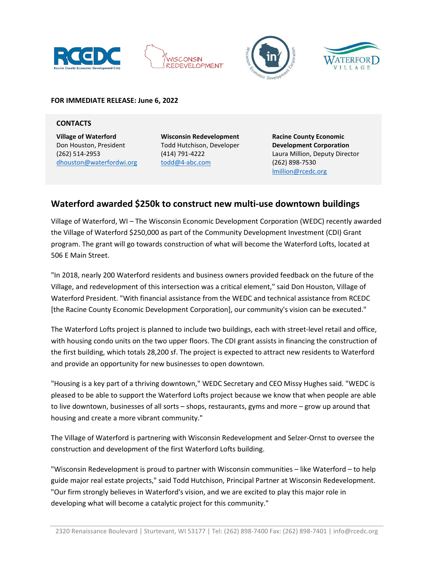







#### **FOR IMMEDIATE RELEASE: June 6, 2022**

#### **CONTACTS**

**Village of Waterford** Don Houston, President (262) 514-2953 [dhouston@waterfordwi.org](mailto:dhouston@waterfordwi.org) **Wisconsin Redevelopment** Todd Hutchison, Developer (414) 791-4222 todd@4-abc.com

**Racine County Economic Development Corporation** Laura Million, Deputy Director (262) 898-7530 [lmillion@rcedc.org](mailto:lmillion@rcedc.org)

# **Waterford awarded \$250k to construct new multi-use downtown buildings**

Village of Waterford, WI – The Wisconsin Economic Development Corporation (WEDC) recently awarded the Village of Waterford \$250,000 as part of the Community Development Investment (CDI) Grant program. The grant will go towards construction of what will become the Waterford Lofts, located at 506 E Main Street.

"In 2018, nearly 200 Waterford residents and business owners provided feedback on the future of the Village, and redevelopment of this intersection was a critical element," said Don Houston, Village of Waterford President. "With financial assistance from the WEDC and technical assistance from RCEDC [the Racine County Economic Development Corporation], our community's vision can be executed."

The Waterford Lofts project is planned to include two buildings, each with street-level retail and office, with housing condo units on the two upper floors. The CDI grant assists in financing the construction of the first building, which totals 28,200 sf. The project is expected to attract new residents to Waterford and provide an opportunity for new businesses to open downtown.

"Housing is a key part of a thriving downtown," WEDC Secretary and CEO Missy Hughes said. "WEDC is pleased to be able to support the Waterford Lofts project because we know that when people are able to live downtown, businesses of all sorts – shops, restaurants, gyms and more – grow up around that housing and create a more vibrant community."

The Village of Waterford is partnering with Wisconsin Redevelopment and Selzer-Ornst to oversee the construction and development of the first Waterford Lofts building.

"Wisconsin Redevelopment is proud to partner with Wisconsin communities – like Waterford – to help guide major real estate projects," said Todd Hutchison, Principal Partner at Wisconsin Redevelopment. "Our firm strongly believes in Waterford's vision, and we are excited to play this major role in developing what will become a catalytic project for this community."